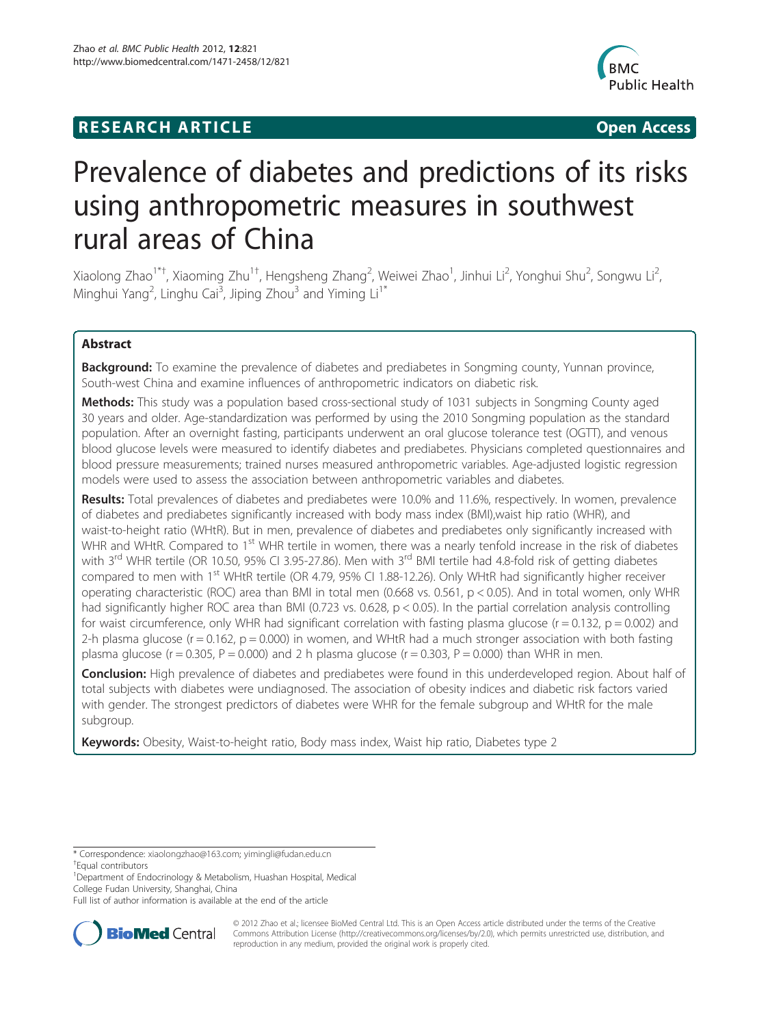## **RESEARCH ARTICLE CONSUMING A RESEARCH ARTICLE**



# Prevalence of diabetes and predictions of its risks using anthropometric measures in southwest rural areas of China

Xiaolong Zhao<sup>1\*†</sup>, Xiaoming Zhu<sup>1†</sup>, Hengsheng Zhang<sup>2</sup>, Weiwei Zhao<sup>1</sup>, Jinhui Li<sup>2</sup>, Yonghui Shu<sup>2</sup>, Songwu Li<sup>2</sup> , Minghui Yang<sup>2</sup>, Linghu Cai<sup>3</sup>, Jiping Zhou<sup>3</sup> and Yiming Li<sup>1\*</sup>

## Abstract

**Background:** To examine the prevalence of diabetes and prediabetes in Songming county, Yunnan province, South-west China and examine influences of anthropometric indicators on diabetic risk.

**Methods:** This study was a population based cross-sectional study of 1031 subjects in Songming County aged 30 years and older. Age-standardization was performed by using the 2010 Songming population as the standard population. After an overnight fasting, participants underwent an oral glucose tolerance test (OGTT), and venous blood glucose levels were measured to identify diabetes and prediabetes. Physicians completed questionnaires and blood pressure measurements; trained nurses measured anthropometric variables. Age-adjusted logistic regression models were used to assess the association between anthropometric variables and diabetes.

Results: Total prevalences of diabetes and prediabetes were 10.0% and 11.6%, respectively. In women, prevalence of diabetes and prediabetes significantly increased with body mass index (BMI),waist hip ratio (WHR), and waist-to-height ratio (WHtR). But in men, prevalence of diabetes and prediabetes only significantly increased with WHR and WHtR. Compared to 1<sup>st</sup> WHR tertile in women, there was a nearly tenfold increase in the risk of diabetes with 3<sup>rd</sup> WHR tertile (OR 10.50, 95% CI 3.95-27.86). Men with 3<sup>rd</sup> BMI tertile had 4.8-fold risk of getting diabetes compared to men with 1<sup>st</sup> WHtR tertile (OR 4.79, 95% CI 1.88-12.26). Only WHtR had significantly higher receiver operating characteristic (ROC) area than BMI in total men (0.668 vs. 0.561, p < 0.05). And in total women, only WHR had significantly higher ROC area than BMI (0.723 vs. 0.628,  $p < 0.05$ ). In the partial correlation analysis controlling for waist circumference, only WHR had significant correlation with fasting plasma glucose ( $r = 0.132$ ,  $p = 0.002$ ) and 2-h plasma glucose ( $r = 0.162$ ,  $p = 0.000$ ) in women, and WHtR had a much stronger association with both fasting plasma glucose (r = 0.305, P = 0.000) and 2 h plasma glucose (r = 0.303, P = 0.000) than WHR in men.

**Conclusion:** High prevalence of diabetes and prediabetes were found in this underdeveloped region. About half of total subjects with diabetes were undiagnosed. The association of obesity indices and diabetic risk factors varied with gender. The strongest predictors of diabetes were WHR for the female subgroup and WHtR for the male subgroup.

Keywords: Obesity, Waist-to-height ratio, Body mass index, Waist hip ratio, Diabetes type 2

Equal contributors

<sup>1</sup>Department of Endocrinology & Metabolism, Huashan Hospital, Medical College Fudan University, Shanghai, China

Full list of author information is available at the end of the article



© 2012 Zhao et al.; licensee BioMed Central Ltd. This is an Open Access article distributed under the terms of the Creative Commons Attribution License [\(http://creativecommons.org/licenses/by/2.0\)](http://creativecommons.org/licenses/by/2.0), which permits unrestricted use, distribution, and reproduction in any medium, provided the original work is properly cited.

<sup>\*</sup> Correspondence: [xiaolongzhao@163.com](mailto:xiaolongzhao@163.com); [yimingli@fudan.edu.cn](mailto:yimingli@fudan.edu.cn) †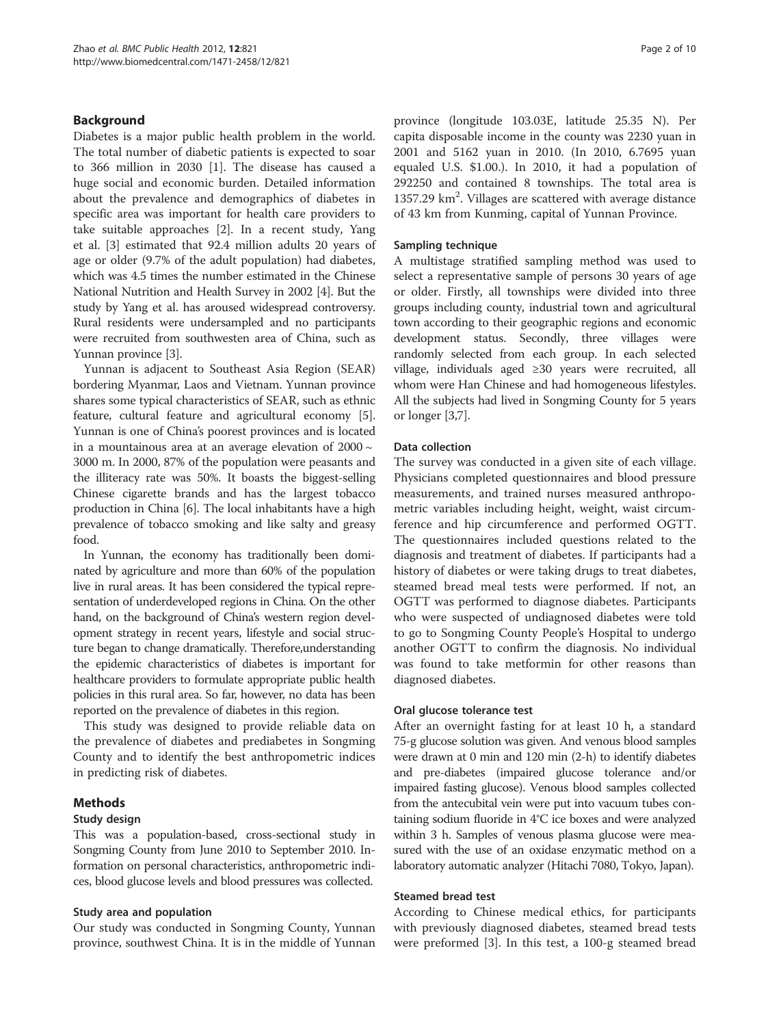## Background

Diabetes is a major public health problem in the world. The total number of diabetic patients is expected to soar to 366 million in 2030 [[1\]](#page-9-0). The disease has caused a huge social and economic burden. Detailed information about the prevalence and demographics of diabetes in specific area was important for health care providers to take suitable approaches [\[2](#page-9-0)]. In a recent study, Yang et al. [[3\]](#page-9-0) estimated that 92.4 million adults 20 years of age or older (9.7% of the adult population) had diabetes, which was 4.5 times the number estimated in the Chinese National Nutrition and Health Survey in 2002 [\[4\]](#page-9-0). But the study by Yang et al. has aroused widespread controversy. Rural residents were undersampled and no participants were recruited from southwesten area of China, such as Yunnan province [\[3\]](#page-9-0).

Yunnan is adjacent to Southeast Asia Region (SEAR) bordering Myanmar, Laos and Vietnam. Yunnan province shares some typical characteristics of SEAR, such as ethnic feature, cultural feature and agricultural economy [[5](#page-9-0)]. Yunnan is one of China's poorest provinces and is located in a mountainous area at an average elevation of  $2000 \sim$ 3000 m. In 2000, 87% of the population were peasants and the illiteracy rate was 50%. It boasts the biggest-selling Chinese cigarette brands and has the largest tobacco production in China [\[6](#page-9-0)]. The local inhabitants have a high prevalence of tobacco smoking and like salty and greasy food.

In Yunnan, the economy has traditionally been dominated by agriculture and more than 60% of the population live in rural areas. It has been considered the typical representation of underdeveloped regions in China. On the other hand, on the background of China's western region development strategy in recent years, lifestyle and social structure began to change dramatically. Therefore,understanding the epidemic characteristics of diabetes is important for healthcare providers to formulate appropriate public health policies in this rural area. So far, however, no data has been reported on the prevalence of diabetes in this region.

This study was designed to provide reliable data on the prevalence of diabetes and prediabetes in Songming County and to identify the best anthropometric indices in predicting risk of diabetes.

### Methods

#### Study design

This was a population-based, cross-sectional study in Songming County from June 2010 to September 2010. Information on personal characteristics, anthropometric indices, blood glucose levels and blood pressures was collected.

### Study area and population

Our study was conducted in Songming County, Yunnan province, southwest China. It is in the middle of Yunnan

province (longitude 103.03E, latitude 25.35 N). Per capita disposable income in the county was 2230 yuan in 2001 and 5162 yuan in 2010. (In 2010, 6.7695 yuan equaled U.S. \$1.00.). In 2010, it had a population of 292250 and contained 8 townships. The total area is 1357.29 km<sup>2</sup>. Villages are scattered with average distance of 43 km from Kunming, capital of Yunnan Province.

### Sampling technique

A multistage stratified sampling method was used to select a representative sample of persons 30 years of age or older. Firstly, all townships were divided into three groups including county, industrial town and agricultural town according to their geographic regions and economic development status. Secondly, three villages were randomly selected from each group. In each selected village, individuals aged ≥30 years were recruited, all whom were Han Chinese and had homogeneous lifestyles. All the subjects had lived in Songming County for 5 years or longer [\[3,7\]](#page-9-0).

### Data collection

The survey was conducted in a given site of each village. Physicians completed questionnaires and blood pressure measurements, and trained nurses measured anthropometric variables including height, weight, waist circumference and hip circumference and performed OGTT. The questionnaires included questions related to the diagnosis and treatment of diabetes. If participants had a history of diabetes or were taking drugs to treat diabetes, steamed bread meal tests were performed. If not, an OGTT was performed to diagnose diabetes. Participants who were suspected of undiagnosed diabetes were told to go to Songming County People's Hospital to undergo another OGTT to confirm the diagnosis. No individual was found to take metformin for other reasons than diagnosed diabetes.

#### Oral glucose tolerance test

After an overnight fasting for at least 10 h, a standard 75-g glucose solution was given. And venous blood samples were drawn at 0 min and 120 min (2-h) to identify diabetes and pre-diabetes (impaired glucose tolerance and/or impaired fasting glucose). Venous blood samples collected from the antecubital vein were put into vacuum tubes containing sodium fluoride in 4°C ice boxes and were analyzed within 3 h. Samples of venous plasma glucose were measured with the use of an oxidase enzymatic method on a laboratory automatic analyzer (Hitachi 7080, Tokyo, Japan).

### Steamed bread test

According to Chinese medical ethics, for participants with previously diagnosed diabetes, steamed bread tests were preformed [[3\]](#page-9-0). In this test, a 100-g steamed bread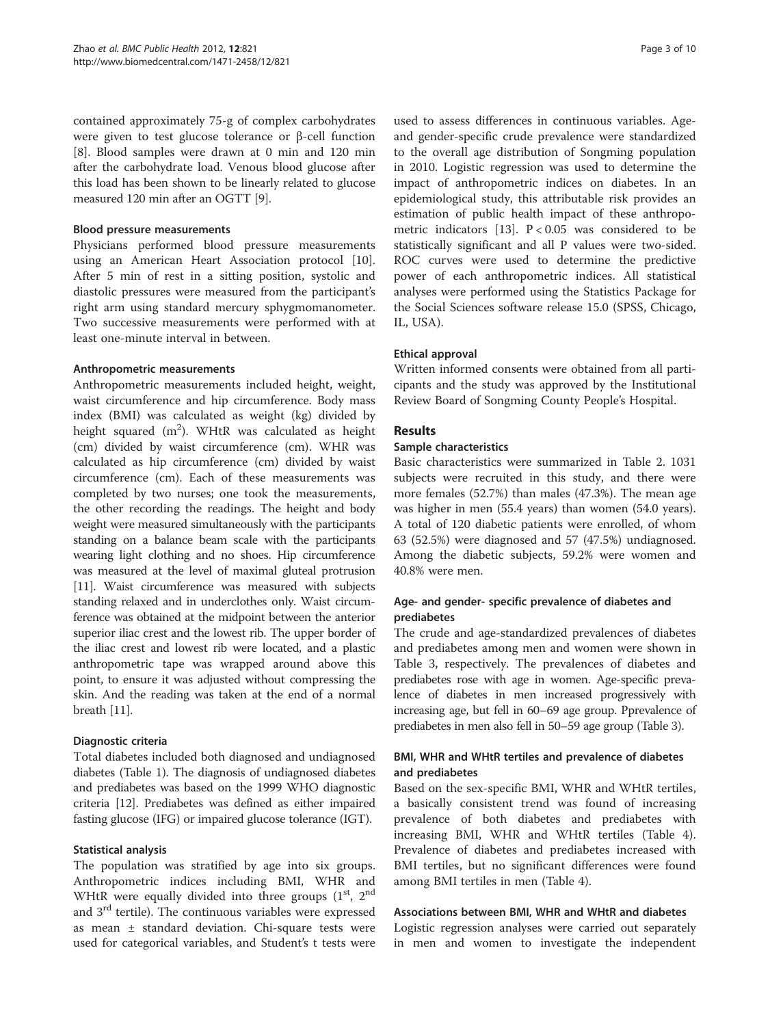contained approximately 75-g of complex carbohydrates were given to test glucose tolerance or β-cell function [[8\]](#page-9-0). Blood samples were drawn at 0 min and 120 min after the carbohydrate load. Venous blood glucose after this load has been shown to be linearly related to glucose measured 120 min after an OGTT [\[9\]](#page-9-0).

#### Blood pressure measurements

Physicians performed blood pressure measurements using an American Heart Association protocol [\[10](#page-9-0)]. After 5 min of rest in a sitting position, systolic and diastolic pressures were measured from the participant's right arm using standard mercury sphygmomanometer. Two successive measurements were performed with at least one-minute interval in between.

#### Anthropometric measurements

Anthropometric measurements included height, weight, waist circumference and hip circumference. Body mass index (BMI) was calculated as weight (kg) divided by height squared  $(m^2)$ . WHtR was calculated as height (cm) divided by waist circumference (cm). WHR was calculated as hip circumference (cm) divided by waist circumference (cm). Each of these measurements was completed by two nurses; one took the measurements, the other recording the readings. The height and body weight were measured simultaneously with the participants standing on a balance beam scale with the participants wearing light clothing and no shoes. Hip circumference was measured at the level of maximal gluteal protrusion [[11](#page-9-0)]. Waist circumference was measured with subjects standing relaxed and in underclothes only. Waist circumference was obtained at the midpoint between the anterior superior iliac crest and the lowest rib. The upper border of the iliac crest and lowest rib were located, and a plastic anthropometric tape was wrapped around above this point, to ensure it was adjusted without compressing the skin. And the reading was taken at the end of a normal breath [[11\]](#page-9-0).

### Diagnostic criteria

Total diabetes included both diagnosed and undiagnosed diabetes (Table [1](#page-3-0)). The diagnosis of undiagnosed diabetes and prediabetes was based on the 1999 WHO diagnostic criteria [\[12\]](#page-9-0). Prediabetes was defined as either impaired fasting glucose (IFG) or impaired glucose tolerance (IGT).

### Statistical analysis

The population was stratified by age into six groups. Anthropometric indices including BMI, WHR and WHtR were equally divided into three groups  $(1<sup>st</sup>, 2<sup>nd</sup>)$ and 3rd tertile). The continuous variables were expressed as mean ± standard deviation. Chi-square tests were used for categorical variables, and Student's t tests were used to assess differences in continuous variables. Ageand gender-specific crude prevalence were standardized to the overall age distribution of Songming population in 2010. Logistic regression was used to determine the impact of anthropometric indices on diabetes. In an epidemiological study, this attributable risk provides an estimation of public health impact of these anthropo-metric indicators [\[13\]](#page-9-0).  $P < 0.05$  was considered to be statistically significant and all P values were two-sided. ROC curves were used to determine the predictive power of each anthropometric indices. All statistical analyses were performed using the Statistics Package for the Social Sciences software release 15.0 (SPSS, Chicago, IL, USA).

## Ethical approval

Written informed consents were obtained from all participants and the study was approved by the Institutional Review Board of Songming County People's Hospital.

## Results

### Sample characteristics

Basic characteristics were summarized in Table [2.](#page-4-0) 1031 subjects were recruited in this study, and there were more females (52.7%) than males (47.3%). The mean age was higher in men (55.4 years) than women (54.0 years). A total of 120 diabetic patients were enrolled, of whom 63 (52.5%) were diagnosed and 57 (47.5%) undiagnosed. Among the diabetic subjects, 59.2% were women and 40.8% were men.

## Age- and gender- specific prevalence of diabetes and prediabetes

The crude and age-standardized prevalences of diabetes and prediabetes among men and women were shown in Table [3,](#page-5-0) respectively. The prevalences of diabetes and prediabetes rose with age in women. Age-specific prevalence of diabetes in men increased progressively with increasing age, but fell in 60–69 age group. Pprevalence of prediabetes in men also fell in 50–59 age group (Table [3](#page-5-0)).

## BMI, WHR and WHtR tertiles and prevalence of diabetes and prediabetes

Based on the sex-specific BMI, WHR and WHtR tertiles, a basically consistent trend was found of increasing prevalence of both diabetes and prediabetes with increasing BMI, WHR and WHtR tertiles (Table [4](#page-5-0)). Prevalence of diabetes and prediabetes increased with BMI tertiles, but no significant differences were found among BMI tertiles in men (Table [4](#page-5-0)).

### Associations between BMI, WHR and WHtR and diabetes

Logistic regression analyses were carried out separately in men and women to investigate the independent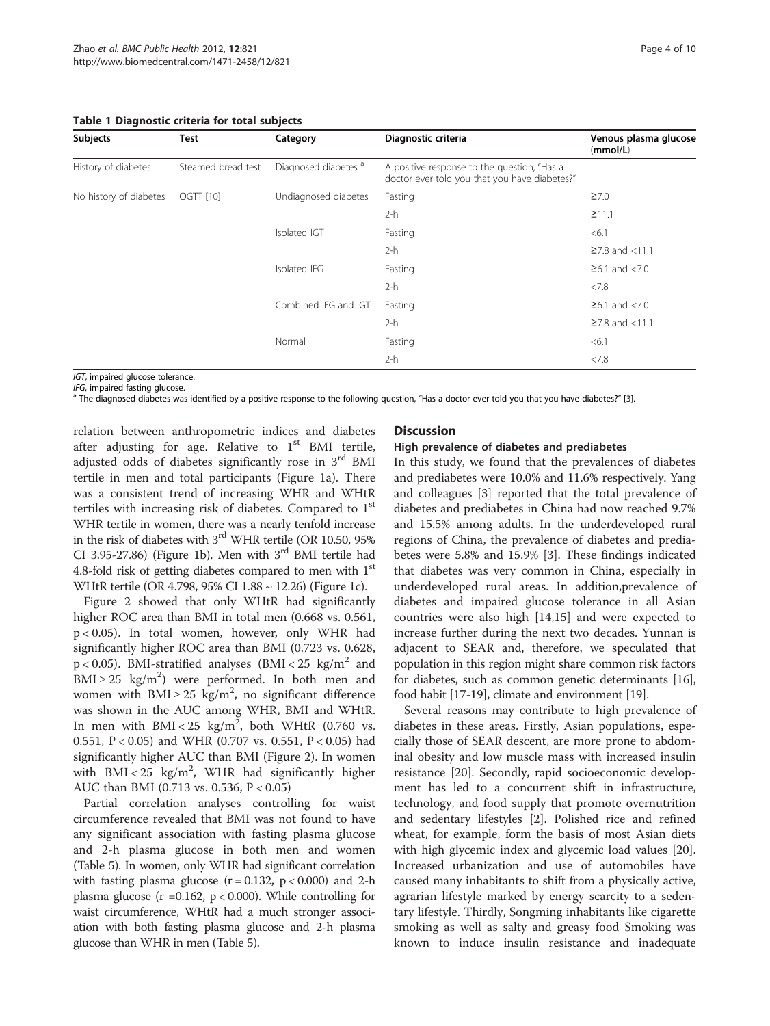<span id="page-3-0"></span>Table 1 Diagnostic criteria for total subjects

| <b>Subjects</b>        | Test               | Category                        | Diagnostic criteria                                                                          | Venous plasma glucose<br>(mmol/L) |  |
|------------------------|--------------------|---------------------------------|----------------------------------------------------------------------------------------------|-----------------------------------|--|
| History of diabetes    | Steamed bread test | Diagnosed diabetes <sup>a</sup> | A positive response to the question, "Has a<br>doctor ever told you that you have diabetes?" |                                   |  |
| No history of diabetes | OGTT [10]          | Undiagnosed diabetes            | Fasting                                                                                      | $\geq 7.0$                        |  |
|                        |                    |                                 | 2-h                                                                                          | ≥11.1                             |  |
|                        |                    | Isolated IGT                    | Fasting                                                                                      | < 6.1                             |  |
|                        |                    |                                 | 2-h                                                                                          | $≥7.8$ and <11.1                  |  |
|                        |                    | Isolated IFG                    | Fasting                                                                                      | $\geq$ 6.1 and <7.0               |  |
|                        |                    |                                 | $2-h$                                                                                        | < 7.8                             |  |
|                        |                    | Combined IFG and IGT            | Fasting                                                                                      | $\geq$ 6.1 and <7.0               |  |
|                        |                    |                                 | 2-h                                                                                          | $≥7.8$ and <11.1                  |  |
|                        |                    | Normal                          | Fasting                                                                                      | < 6.1                             |  |
|                        |                    |                                 | $2-h$                                                                                        | < 7.8                             |  |

IGT, impaired glucose tolerance.

IFG, impaired fasting glucose.<br><sup>a</sup> The diagnosed diabetes was identified by a positive response to the following question, "Has a doctor ever told you that you have diabetes?" [[3](#page-9-0)].

relation between anthropometric indices and diabetes after adjusting for age. Relative to  $1<sup>st</sup>$  BMI tertile, adjusted odds of diabetes significantly rose in 3<sup>rd</sup> BMI tertile in men and total participants (Figure [1a\)](#page-6-0). There was a consistent trend of increasing WHR and WHtR tertiles with increasing risk of diabetes. Compared to 1st WHR tertile in women, there was a nearly tenfold increase in the risk of diabetes with 3rd WHR tertile (OR 10.50, 95% CI 3.95-27.86) (Figure [1b\)](#page-6-0). Men with 3<sup>rd</sup> BMI tertile had 4.8-fold risk of getting diabetes compared to men with 1<sup>st</sup> WHtR tertile (OR 4.798, 95% CI 1.88 ~ 12.26) (Figure [1c](#page-6-0)).

Figure [2](#page-7-0) showed that only WHtR had significantly higher ROC area than BMI in total men (0.668 vs. 0.561, p < 0.05). In total women, however, only WHR had significantly higher ROC area than BMI (0.723 vs. 0.628,  $p < 0.05$ ). BMI-stratified analyses (BMI  $< 25 \text{ kg/m}^2$  and BMI  $\geq$  25 kg/m<sup>2</sup>) were performed. In both men and women with  $\text{BMI} \geq 25 \text{ kg/m}^2$ , no significant difference was shown in the AUC among WHR, BMI and WHtR. In men with BMI < 25 kg/m<sup>2</sup>, both WHtR (0.760 vs. 0.551, P < 0.05) and WHR (0.707 vs. 0.551, P < 0.05) had significantly higher AUC than BMI (Figure [2](#page-7-0)). In women with  $BMI < 25$  kg/m<sup>2</sup>, WHR had significantly higher AUC than BMI (0.713 vs. 0.536, P < 0.05)

Partial correlation analyses controlling for waist circumference revealed that BMI was not found to have any significant association with fasting plasma glucose and 2-h plasma glucose in both men and women (Table [5\)](#page-8-0). In women, only WHR had significant correlation with fasting plasma glucose  $(r = 0.132, p < 0.000)$  and 2-h plasma glucose ( $r = 0.162$ ,  $p < 0.000$ ). While controlling for waist circumference, WHtR had a much stronger association with both fasting plasma glucose and 2-h plasma glucose than WHR in men (Table [5\)](#page-8-0).

#### **Discussion**

#### High prevalence of diabetes and prediabetes

In this study, we found that the prevalences of diabetes and prediabetes were 10.0% and 11.6% respectively. Yang and colleagues [[3\]](#page-9-0) reported that the total prevalence of diabetes and prediabetes in China had now reached 9.7% and 15.5% among adults. In the underdeveloped rural regions of China, the prevalence of diabetes and prediabetes were 5.8% and 15.9% [\[3](#page-9-0)]. These findings indicated that diabetes was very common in China, especially in underdeveloped rural areas. In addition,prevalence of diabetes and impaired glucose tolerance in all Asian countries were also high [[14,15\]](#page-9-0) and were expected to increase further during the next two decades. Yunnan is adjacent to SEAR and, therefore, we speculated that population in this region might share common risk factors for diabetes, such as common genetic determinants [[16](#page-9-0)], food habit [\[17-19\]](#page-9-0), climate and environment [\[19](#page-9-0)].

Several reasons may contribute to high prevalence of diabetes in these areas. Firstly, Asian populations, especially those of SEAR descent, are more prone to abdominal obesity and low muscle mass with increased insulin resistance [[20\]](#page-9-0). Secondly, rapid socioeconomic development has led to a concurrent shift in infrastructure, technology, and food supply that promote overnutrition and sedentary lifestyles [[2\]](#page-9-0). Polished rice and refined wheat, for example, form the basis of most Asian diets with high glycemic index and glycemic load values [\[20](#page-9-0)]. Increased urbanization and use of automobiles have caused many inhabitants to shift from a physically active, agrarian lifestyle marked by energy scarcity to a sedentary lifestyle. Thirdly, Songming inhabitants like cigarette smoking as well as salty and greasy food Smoking was known to induce insulin resistance and inadequate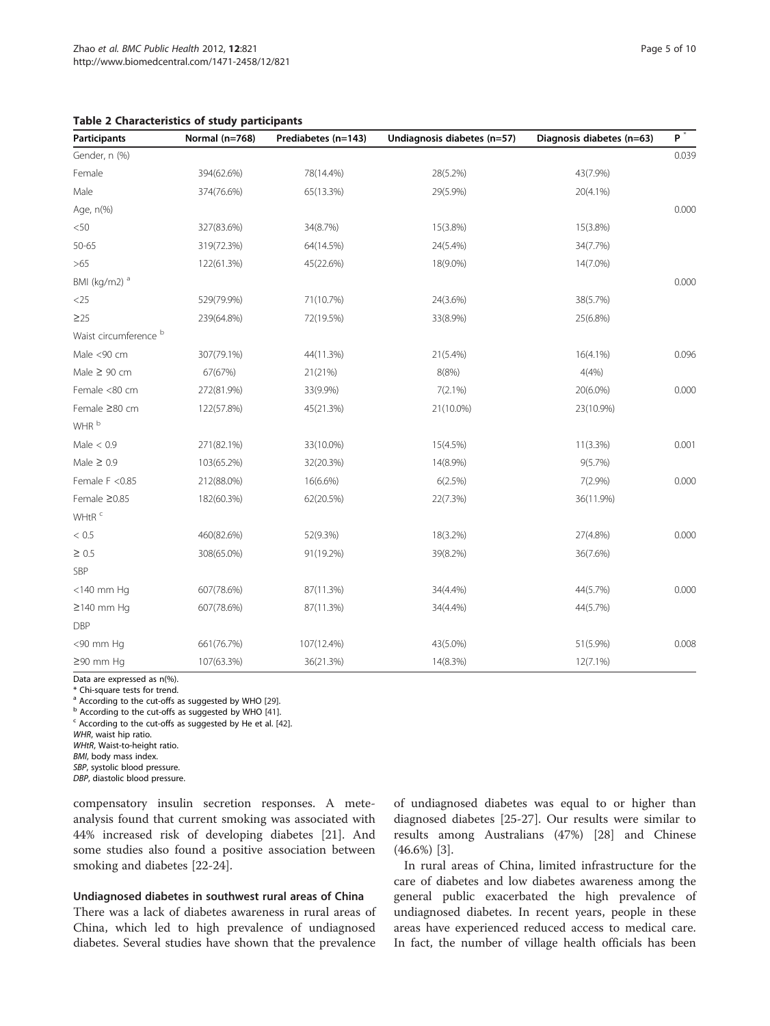<span id="page-4-0"></span>

| <b>Participants</b>      | Normal (n=768) | Prediabetes (n=143) | Undiagnosis diabetes (n=57) | Diagnosis diabetes (n=63) | $\overline{P}^*$ |
|--------------------------|----------------|---------------------|-----------------------------|---------------------------|------------------|
| Gender, n (%)            |                |                     |                             |                           | 0.039            |
| Female                   | 394(62.6%)     | 78(14.4%)           | 28(5.2%)                    | 43(7.9%)                  |                  |
| Male                     | 374(76.6%)     | 65(13.3%)           | 29(5.9%)                    | 20(4.1%)                  |                  |
| Age, n(%)                |                |                     |                             |                           | 0.000            |
| < 50                     | 327(83.6%)     | 34(8.7%)            | 15(3.8%)                    | 15(3.8%)                  |                  |
| 50-65                    | 319(72.3%)     | 64(14.5%)           | 24(5.4%)                    | 34(7.7%)                  |                  |
| $>65$                    | 122(61.3%)     | 45(22.6%)           | 18(9.0%)                    | 14(7.0%)                  |                  |
| BMI (kg/m2) <sup>a</sup> |                |                     |                             |                           | 0.000            |
| $<$ 25                   | 529(79.9%)     | 71(10.7%)           | 24(3.6%)                    | 38(5.7%)                  |                  |
| $\geq$ 25                | 239(64.8%)     | 72(19.5%)           | 33(8.9%)                    | 25(6.8%)                  |                  |
| Waist circumference b    |                |                     |                             |                           |                  |
| Male <90 cm              | 307(79.1%)     | 44(11.3%)           | 21(5.4%)                    | 16(4.1%)                  | 0.096            |
| Male $\geq 90$ cm        | 67(67%)        | 21(21%)             | 8(8%)                       | 4(4%)                     |                  |
| Female <80 cm            | 272(81.9%)     | 33(9.9%)            | $7(2.1\%)$                  | 20(6.0%)                  | 0.000            |
| Female ≥80 cm            | 122(57.8%)     | 45(21.3%)           | 21(10.0%)                   | 23(10.9%)                 |                  |
| WHR <sup>b</sup>         |                |                     |                             |                           |                  |
| Male $< 0.9$             | 271(82.1%)     | 33(10.0%)           | 15(4.5%)                    | $11(3.3\%)$               | 0.001            |
| Male $\geq 0.9$          | 103(65.2%)     | 32(20.3%)           | 14(8.9%)                    | 9(5.7%)                   |                  |
| Female F <0.85           | 212(88.0%)     | 16(6.6%)            | 6(2.5%)                     | 7(2.9%)                   | 0.000            |
| Female ≥0.85             | 182(60.3%)     | 62(20.5%)           | 22(7.3%)                    | 36(11.9%)                 |                  |
| WHtR <sup>c</sup>        |                |                     |                             |                           |                  |
| < 0.5                    | 460(82.6%)     | 52(9.3%)            | 18(3.2%)                    | 27(4.8%)                  | 0.000            |
| $\geq 0.5$               | 308(65.0%)     | 91(19.2%)           | 39(8.2%)                    | 36(7.6%)                  |                  |
| SBP                      |                |                     |                             |                           |                  |
| $<$ 140 mm Hq            | 607(78.6%)     | 87(11.3%)           | 34(4.4%)                    | 44(5.7%)                  | 0.000            |
| $\geq$ 140 mm Hq         | 607(78.6%)     | 87(11.3%)           | 34(4.4%)                    | 44(5.7%)                  |                  |
| DBP                      |                |                     |                             |                           |                  |
| <90 mm Hg                | 661(76.7%)     | 107(12.4%)          | 43(5.0%)                    | 51(5.9%)                  | 0.008            |
| ≥90 mm Hq                | 107(63.3%)     | 36(21.3%)           | 14(8.3%)                    | 12(7.1%)                  |                  |

Data are expressed as n(%).

\* Chi-square tests for trend.<br><sup>a</sup> According to the cut-offs as suggested by WHO [29].

<sup>b</sup> According to the cut-offs as suggested by WHO [\[41](#page-9-0)].<br><sup>c</sup> According to the cut-offs as suggested by He et al. [\[42\]](#page-9-0).

WHR, waist hip ratio.

WHtR, Waist-to-height ratio.

BMI, body mass index.

SBP, systolic blood pressure.

DBP, diastolic blood pressure.

compensatory insulin secretion responses. A meteanalysis found that current smoking was associated with 44% increased risk of developing diabetes [[21\]](#page-9-0). And some studies also found a positive association between smoking and diabetes [\[22](#page-9-0)-[24\]](#page-9-0).

#### Undiagnosed diabetes in southwest rural areas of China

There was a lack of diabetes awareness in rural areas of China, which led to high prevalence of undiagnosed diabetes. Several studies have shown that the prevalence

of undiagnosed diabetes was equal to or higher than diagnosed diabetes [\[25-27](#page-9-0)]. Our results were similar to results among Australians (47%) [[28](#page-9-0)] and Chinese (46.6%) [[3\]](#page-9-0).

In rural areas of China, limited infrastructure for the care of diabetes and low diabetes awareness among the general public exacerbated the high prevalence of undiagnosed diabetes. In recent years, people in these areas have experienced reduced access to medical care. In fact, the number of village health officials has been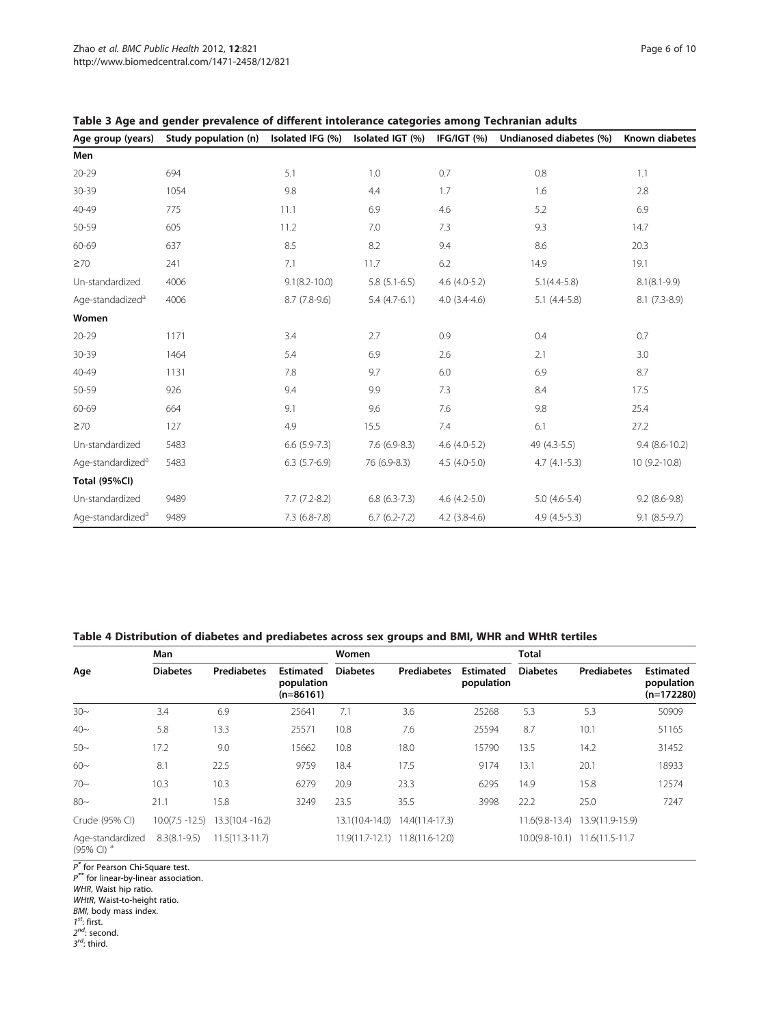| Age group (years)             | Study population (n) | Isolated IFG (%)  | Isolated IGT (%) | IFG/IGT (%)         | Undianosed diabetes (%) | Known diabetes    |
|-------------------------------|----------------------|-------------------|------------------|---------------------|-------------------------|-------------------|
| Men                           |                      |                   |                  |                     |                         |                   |
| $20 - 29$                     | 694                  | 5.1               | 1.0              | 0.7                 | 0.8                     | 1.1               |
| 30-39                         | 1054                 | 9.8               | 4.4              | 1.7                 | 1.6                     | 2.8               |
| 40-49                         | 775                  | 11.1              | 6.9              | 4.6                 | 5.2                     | 6.9               |
| 50-59                         | 605                  | 11.2              | 7.0              | 7.3                 | 9.3                     | 14.7              |
| 60-69                         | 637                  | 8.5               | 8.2              | 9.4                 | 8.6                     | 20.3              |
| $\geq 70$                     | 241                  | 7.1               | 11.7             | 6.2                 | 14.9                    | 19.1              |
| Un-standardized               | 4006                 | $9.1(8.2 - 10.0)$ | $5.8(5.1-6.5)$   | 4.6 $(4.0-5.2)$     | $5.1(4.4-5.8)$          | $8.1(8.1-9.9)$    |
| Age-standadized <sup>a</sup>  | 4006                 | $8.7(7.8-9.6)$    | $5.4(4.7-6.1)$   | $4.0(3.4-4.6)$      | $5.1$ (4.4-5.8)         | $8.1(7.3-8.9)$    |
| Women                         |                      |                   |                  |                     |                         |                   |
| $20 - 29$                     | 1171                 | 3.4               | 2.7              | 0.9                 | 0.4                     | 0.7               |
| 30-39                         | 1464                 | 5.4               | 6.9              | 2.6                 | 2.1                     | 3.0               |
| 40-49                         | 1131                 | 7.8               | 9.7              | 6.0                 | 6.9                     | 8.7               |
| 50-59                         | 926                  | 9.4               | 9.9              | 7.3                 | 8.4                     | 17.5              |
| 60-69                         | 664                  | 9.1               | 9.6              | 7.6                 | 9.8                     | 25.4              |
| $\geq 70$                     | 127                  | 4.9               | 15.5             | 7.4                 | 6.1                     | 27.2              |
| Un-standardized               | 5483                 | $6.6$ $(5.9-7.3)$ | $7.6(6.9-8.3)$   | $4.6$ $(4.0-5.2)$   | 49 (4.3-5.5)            | $9.4(8.6-10.2)$   |
| Age-standardized <sup>a</sup> | 5483                 | $6.3(5.7-6.9)$    | 76 (6.9-8.3)     | $4.5(4.0-5.0)$      | $4.7(4.1-5.3)$          | 10 (9.2-10.8)     |
| Total (95%CI)                 |                      |                   |                  |                     |                         |                   |
| Un-standardized               | 9489                 | $7.7(7.2-8.2)$    | $6.8(6.3-7.3)$   | $4.6$ $(4.2 - 5.0)$ | $5.0(4.6-5.4)$          | $9.2$ (8.6-9.8)   |
| Age-standardized <sup>a</sup> | 9489                 | $7.3$ (6.8-7.8)   | $6.7(6.2-7.2)$   | $4.2$ (3.8-4.6)     | $4.9(4.5-5.3)$          | $9.1 (8.5 - 9.7)$ |

<span id="page-5-0"></span>Table 3 Age and gender prevalence of different intolerance categories among Techranian adults

### Table 4 Distribution of diabetes and prediabetes across sex groups and BMI, WHR and WHtR tertiles

|                                              | Man                |                     |                                               | Women           |                                 |                         | <b>Total</b>     |                    |                                                |
|----------------------------------------------|--------------------|---------------------|-----------------------------------------------|-----------------|---------------------------------|-------------------------|------------------|--------------------|------------------------------------------------|
| Age                                          | <b>Diabetes</b>    | <b>Prediabetes</b>  | <b>Estimated</b><br>population<br>$(n=86161)$ | <b>Diabetes</b> | <b>Prediabetes</b>              | Estimated<br>population | <b>Diabetes</b>  | <b>Prediabetes</b> | <b>Estimated</b><br>population<br>$(n=172280)$ |
| $30-$                                        | 3.4                | 6.9                 | 25641                                         | 7.1             | 3.6                             | 25268                   | 5.3              | 5.3                | 50909                                          |
| $40-$                                        | 5.8                | 13.3                | 25571                                         | 10.8            | 7.6                             | 25594                   | 8.7              | 10.1               | 51165                                          |
| $50-$                                        | 17.2               | 9.0                 | 15662                                         | 10.8            | 18.0                            | 15790                   | 13.5             | 14.2               | 31452                                          |
| $60-$                                        | 8.1                | 22.5                | 9759                                          | 18.4            | 17.5                            | 9174                    | 13.1             | 20.1               | 18933                                          |
| $70-$                                        | 10.3               | 10.3                | 6279                                          | 20.9            | 23.3                            | 6295                    | 14.9             | 15.8               | 12574                                          |
| $80-$                                        | 21.1               | 15.8                | 3249                                          | 23.5            | 35.5                            | 3998                    | 22.2             | 25.0               | 7247                                           |
| Crude (95% CI)                               | $10.0(7.5 - 12.5)$ | $13.3(10.4 - 16.2)$ |                                               | 13.1(10.4-14.0) | 14.4(11.4-17.3)                 |                         | $11.6(9.8-13.4)$ | 13.9(11.9-15.9)    |                                                |
| Age-standardized<br>$(95\%$ CI) <sup>a</sup> | $8.3(8.1 - 9.5)$   | $11.5(11.3-11.7)$   |                                               |                 | 11.9(11.7-12.1) 11.8(11.6-12.0) |                         | $10.0(9.8-10.1)$ | 11.6(11.5-11.7     |                                                |

 $P^*$  for Pearson Chi-Square test.

 $P^{**}$  for linear-by-linear association. WHR, Waist hip ratio. WHtR, Waist-to-height ratio. *BMI*, body mass index.<br>1<sup>st</sup>: first.

2<sup>nd</sup>: second.

 $3^{rd}$ : third.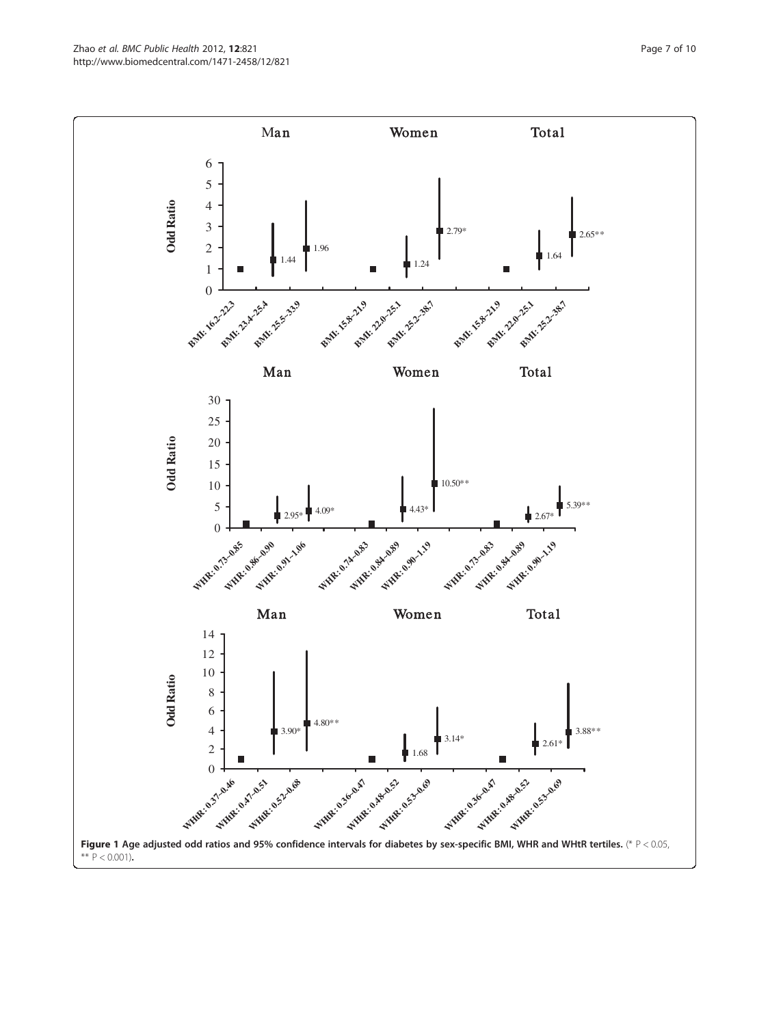<span id="page-6-0"></span>Zhao et al. BMC Public Health 2012, 12:821 Page 7 of 10 http://www.biomedcentral.com/1471-2458/12/821

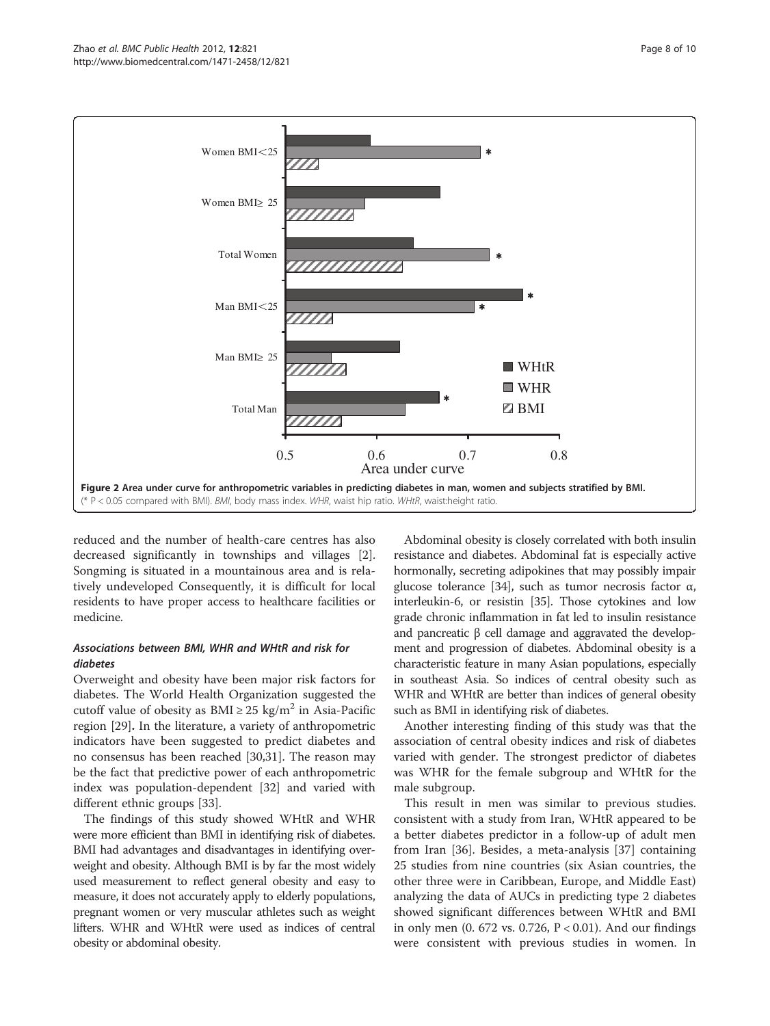<span id="page-7-0"></span>

reduced and the number of health-care centres has also decreased significantly in townships and villages [\[2](#page-9-0)]. Songming is situated in a mountainous area and is relatively undeveloped Consequently, it is difficult for local residents to have proper access to healthcare facilities or medicine.

## Associations between BMI, WHR and WHtR and risk for diabetes

Overweight and obesity have been major risk factors for diabetes. The World Health Organization suggested the cutoff value of obesity as  $BMI \geq 25$  kg/m<sup>2</sup> in Asia-Pacific region [[29\]](#page-9-0). In the literature, a variety of anthropometric indicators have been suggested to predict diabetes and no consensus has been reached [\[30,31](#page-9-0)]. The reason may be the fact that predictive power of each anthropometric index was population-dependent [[32\]](#page-9-0) and varied with different ethnic groups [\[33](#page-9-0)].

The findings of this study showed WHtR and WHR were more efficient than BMI in identifying risk of diabetes. BMI had advantages and disadvantages in identifying overweight and obesity. Although BMI is by far the most widely used measurement to reflect general obesity and easy to measure, it does not accurately apply to elderly populations, pregnant women or very muscular athletes such as weight lifters. WHR and WHtR were used as indices of central obesity or abdominal obesity.

Abdominal obesity is closely correlated with both insulin resistance and diabetes. Abdominal fat is especially active hormonally, secreting adipokines that may possibly impair glucose tolerance [[34](#page-9-0)], such as tumor necrosis factor  $α$ , interleukin-6, or resistin [\[35\]](#page-9-0). Those cytokines and low grade chronic inflammation in fat led to insulin resistance and pancreatic β cell damage and aggravated the development and progression of diabetes. Abdominal obesity is a characteristic feature in many Asian populations, especially in southeast Asia. So indices of central obesity such as WHR and WHtR are better than indices of general obesity such as BMI in identifying risk of diabetes.

Another interesting finding of this study was that the association of central obesity indices and risk of diabetes varied with gender. The strongest predictor of diabetes was WHR for the female subgroup and WHtR for the male subgroup.

This result in men was similar to previous studies. consistent with a study from Iran, WHtR appeared to be a better diabetes predictor in a follow-up of adult men from Iran [\[36](#page-9-0)]. Besides, a meta-analysis [\[37](#page-9-0)] containing 25 studies from nine countries (six Asian countries, the other three were in Caribbean, Europe, and Middle East) analyzing the data of AUCs in predicting type 2 diabetes showed significant differences between WHtR and BMI in only men  $(0.672 \text{ vs. } 0.726, P < 0.01)$ . And our findings were consistent with previous studies in women. In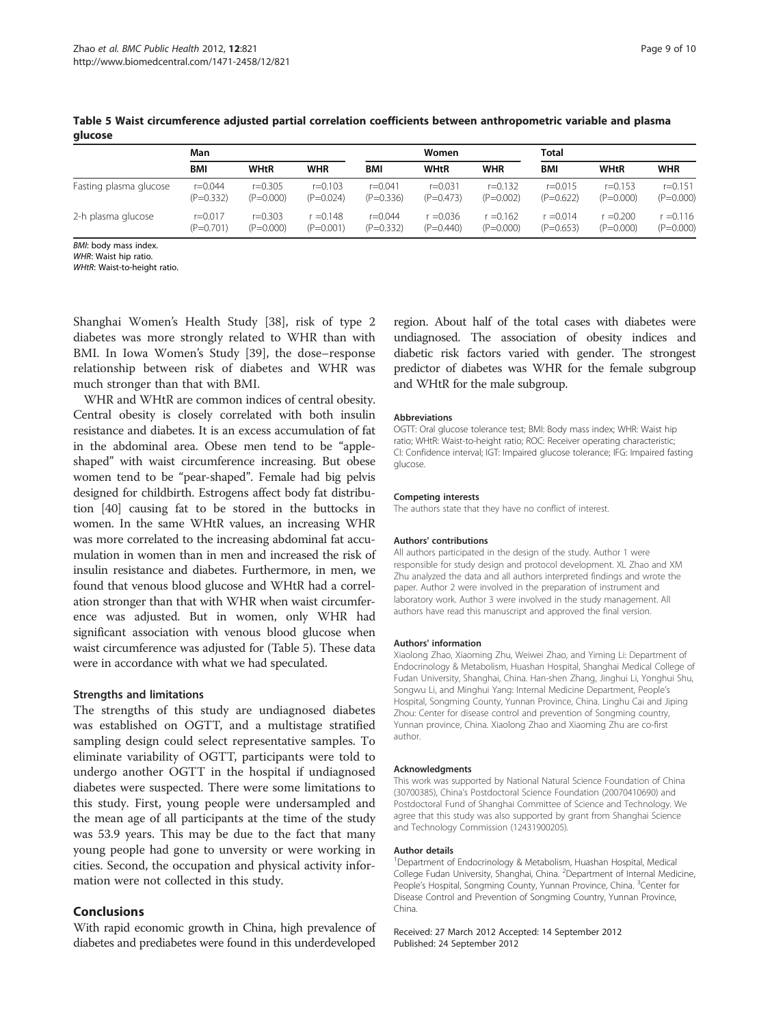|                        | Man         |             |             | Women       |             |             | Total       |             |             |
|------------------------|-------------|-------------|-------------|-------------|-------------|-------------|-------------|-------------|-------------|
|                        | <b>BMI</b>  | <b>WHtR</b> | <b>WHR</b>  | BMI         | <b>WHtR</b> | <b>WHR</b>  | BMI         | <b>WHtR</b> | <b>WHR</b>  |
| Fasting plasma glucose | $r = 0.044$ | $r = 0.305$ | $r = 0.103$ | $r = 0.041$ | $r = 0.031$ | $r = 0.132$ | $r = 0.015$ | $r = 0.153$ | $r = 0.151$ |
|                        | $(P=0.332)$ | $(P=0.000)$ | $(P=0.024)$ | $(P=0.336)$ | $(P=0.473)$ | $(P=0.002)$ | $(P=0.622)$ | $(P=0.000)$ | $(P=0.000)$ |
| 2-h plasma glucose     | $r = 0.017$ | $r = 0.303$ | r = 0.148   | $r = 0.044$ | $= 0.036$   | $= 0.162$   | $=0.014$    | $= 0.200$   | $= 0.116$   |
|                        | $(P=0.701)$ | $(P=0.000)$ | $(P=0.001)$ | $(P=0.332)$ | $(P=0.440)$ | $(P=0.000)$ | $(P=0.653)$ | $(P=0.000)$ | $(P=0.000)$ |

<span id="page-8-0"></span>Table 5 Waist circumference adjusted partial correlation coefficients between anthropometric variable and plasma glucose

BMI: body mass index.

WHR: Waist hip ratio.

WHtR: Waist-to-height ratio.

Shanghai Women's Health Study [[38\]](#page-9-0), risk of type 2 diabetes was more strongly related to WHR than with BMI. In Iowa Women's Study [[39\]](#page-9-0), the dose–response relationship between risk of diabetes and WHR was much stronger than that with BMI.

WHR and WHtR are common indices of central obesity. Central obesity is closely correlated with both insulin resistance and diabetes. It is an excess accumulation of fat in the abdominal area. Obese men tend to be "appleshaped" with waist circumference increasing. But obese women tend to be "pear-shaped". Female had big pelvis designed for childbirth. Estrogens affect body fat distribution [\[40\]](#page-9-0) causing fat to be stored in the buttocks in women. In the same WHtR values, an increasing WHR was more correlated to the increasing abdominal fat accumulation in women than in men and increased the risk of insulin resistance and diabetes. Furthermore, in men, we found that venous blood glucose and WHtR had a correlation stronger than that with WHR when waist circumference was adjusted. But in women, only WHR had significant association with venous blood glucose when waist circumference was adjusted for (Table 5). These data were in accordance with what we had speculated.

#### Strengths and limitations

The strengths of this study are undiagnosed diabetes was established on OGTT, and a multistage stratified sampling design could select representative samples. To eliminate variability of OGTT, participants were told to undergo another OGTT in the hospital if undiagnosed diabetes were suspected. There were some limitations to this study. First, young people were undersampled and the mean age of all participants at the time of the study was 53.9 years. This may be due to the fact that many young people had gone to unversity or were working in cities. Second, the occupation and physical activity information were not collected in this study.

#### Conclusions

With rapid economic growth in China, high prevalence of diabetes and prediabetes were found in this underdeveloped

region. About half of the total cases with diabetes were undiagnosed. The association of obesity indices and diabetic risk factors varied with gender. The strongest predictor of diabetes was WHR for the female subgroup and WHtR for the male subgroup.

#### Abbreviations

OGTT: Oral glucose tolerance test; BMI: Body mass index; WHR: Waist hip ratio; WHtR: Waist-to-height ratio; ROC: Receiver operating characteristic; CI: Confidence interval; IGT: Impaired glucose tolerance; IFG: Impaired fasting glucose.

#### Competing interests

The authors state that they have no conflict of interest.

#### Authors' contributions

All authors participated in the design of the study. Author 1 were responsible for study design and protocol development. XL Zhao and XM Zhu analyzed the data and all authors interpreted findings and wrote the paper. Author 2 were involved in the preparation of instrument and laboratory work. Author 3 were involved in the study management. All authors have read this manuscript and approved the final version.

#### Authors' information

Xiaolong Zhao, Xiaoming Zhu, Weiwei Zhao, and Yiming Li: Department of Endocrinology & Metabolism, Huashan Hospital, Shanghai Medical College of Fudan University, Shanghai, China. Han-shen Zhang, Jinghui Li, Yonghui Shu, Songwu Li, and Minghui Yang: Internal Medicine Department, People's Hospital, Songming County, Yunnan Province, China. Linghu Cai and Jiping Zhou: Center for disease control and prevention of Songming country, Yunnan province, China. Xiaolong Zhao and Xiaoming Zhu are co-first author.

#### Acknowledgments

This work was supported by National Natural Science Foundation of China (30700385), China's Postdoctoral Science Foundation (20070410690) and Postdoctoral Fund of Shanghai Committee of Science and Technology. We agree that this study was also supported by grant from Shanghai Science and Technology Commission (12431900205).

#### Author details

<sup>1</sup>Department of Endocrinology & Metabolism, Huashan Hospital, Medical College Fudan University, Shanghai, China. <sup>2</sup>Department of Internal Medicine People's Hospital, Songming County, Yunnan Province, China. <sup>3</sup>Center for Disease Control and Prevention of Songming Country, Yunnan Province, China.

Received: 27 March 2012 Accepted: 14 September 2012 Published: 24 September 2012